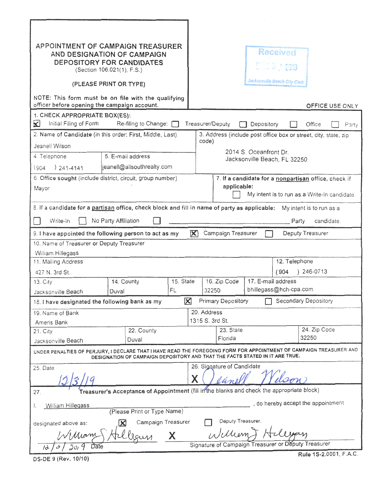| APPOINTMENT OF CAMPAIGN TREASURER<br>NOTE: This form must be on file with the qualifying<br>officer before opening the campaign account.                                                            | AND DESIGNATION OF CAMPAIGN<br><b>DEPOSITORY FOR CANDIDATES</b><br>(Section 106.021(1), F.S.)<br>(PLEASE PRINT OR TYPE) |           |                                                                     | Received<br>2019<br>Jacksonville Beach City Clerk   | <b>OFFICE USE ONLY</b>                                          |  |
|-----------------------------------------------------------------------------------------------------------------------------------------------------------------------------------------------------|-------------------------------------------------------------------------------------------------------------------------|-----------|---------------------------------------------------------------------|-----------------------------------------------------|-----------------------------------------------------------------|--|
| 1. CHECK APPROPRIATE BOX(ES):<br>X<br>Initial Filing of Form                                                                                                                                        | Re-filing to Change: [                                                                                                  |           | Treasurer/Deputy                                                    | Depository                                          | Office<br>Party                                                 |  |
| 2. Name of Candidate (in this order: First, Middle, Last)                                                                                                                                           |                                                                                                                         |           | code)                                                               |                                                     | 3. Address (include post office box or street, city, state, zip |  |
| Jeanell Wilson                                                                                                                                                                                      |                                                                                                                         |           | 2014 S. Oceanfront Dr.                                              |                                                     |                                                                 |  |
| 4 Telephone                                                                                                                                                                                         | 5. E-mail address                                                                                                       |           | Jacksonville Beach, FL 32250                                        |                                                     |                                                                 |  |
| $) 241 - 4141$<br>(904)                                                                                                                                                                             | jeanell@allsouthrealty.com                                                                                              |           |                                                                     |                                                     |                                                                 |  |
| 6. Office sought (include district, circuit, group number)                                                                                                                                          |                                                                                                                         |           | 7. If a candidate for a nonpartisan office, check if<br>applicable: |                                                     |                                                                 |  |
| Mayor                                                                                                                                                                                               |                                                                                                                         |           | My intent is to run as a Write-In candidate.                        |                                                     |                                                                 |  |
| 8. If a candidate for a partisan office, check block and fill in name of party as applicable:<br>My intent is to run as a                                                                           |                                                                                                                         |           |                                                                     |                                                     |                                                                 |  |
| candidate.<br>No Party Affiliation<br>Party<br>Write-In                                                                                                                                             |                                                                                                                         |           |                                                                     |                                                     |                                                                 |  |
| Deputy Treasurer<br>Campaign Treasurer<br>K<br>9. I have appointed the following person to act as my                                                                                                |                                                                                                                         |           |                                                                     |                                                     |                                                                 |  |
| 10. Name of Treasurer or Deputy Treasurer                                                                                                                                                           |                                                                                                                         |           |                                                                     |                                                     |                                                                 |  |
| William Hillegass<br>12. Telephone                                                                                                                                                                  |                                                                                                                         |           |                                                                     |                                                     |                                                                 |  |
| 11. Mailing Address<br>427 N. 3rd St.                                                                                                                                                               |                                                                                                                         |           |                                                                     | (904)                                               | ) 246-0713                                                      |  |
| 13. City                                                                                                                                                                                            | 14. County                                                                                                              | 15. State | 16. Zip Code                                                        | 17. E-mail address                                  |                                                                 |  |
| Jacksonville Beach                                                                                                                                                                                  | Duval                                                                                                                   | FL        | 32250                                                               | bhillegass@hch-cpa.com                              |                                                                 |  |
| 18. I have designated the following bank as my                                                                                                                                                      |                                                                                                                         | IХ        | <b>Primary Depository</b>                                           |                                                     | Secondary Depository                                            |  |
| 19. Name of Bank                                                                                                                                                                                    |                                                                                                                         |           | 20. Address                                                         |                                                     |                                                                 |  |
| Ameris Bank                                                                                                                                                                                         |                                                                                                                         |           | 1315 S. 3rd St.<br>23. State                                        |                                                     | 24. Zip Code                                                    |  |
| 21. City<br>Jacksonville Beach                                                                                                                                                                      | 22. County<br>Duval                                                                                                     |           | Florida                                                             |                                                     | 32250                                                           |  |
| UNDER PENALTIES OF PERJURY, I DECLARE THAT I HAVE READ THE FOREGOING FORM FOR APPOINTMENT OF CAMPAIGN TREASURER AND<br>DESIGNATION OF CAMPAIGN DEPOSITORY AND THAT THE FACTS STATED IN IT ARE TRUE. |                                                                                                                         |           |                                                                     |                                                     |                                                                 |  |
| 26. Signature of Candidate<br>25. Date                                                                                                                                                              |                                                                                                                         |           |                                                                     |                                                     |                                                                 |  |
|                                                                                                                                                                                                     |                                                                                                                         |           | Χ                                                                   |                                                     |                                                                 |  |
| Treasurer's Acceptance of Appointment (fill in the blanks and cheek the appropriate block)<br>27.                                                                                                   |                                                                                                                         |           |                                                                     |                                                     |                                                                 |  |
| , do hereby accept the appointment<br>William Hillegass<br>I,                                                                                                                                       |                                                                                                                         |           |                                                                     |                                                     |                                                                 |  |
| (Please Print or Type Name)<br>Deputy Treasurer.                                                                                                                                                    |                                                                                                                         |           |                                                                     |                                                     |                                                                 |  |
| Campaign Treasurer<br>designated above as:<br>William & H                                                                                                                                           |                                                                                                                         |           |                                                                     |                                                     |                                                                 |  |
| William                                                                                                                                                                                             |                                                                                                                         |           |                                                                     | Signature of Campaign Treasurer or Deputy Treasurer |                                                                 |  |
|                                                                                                                                                                                                     |                                                                                                                         |           |                                                                     |                                                     |                                                                 |  |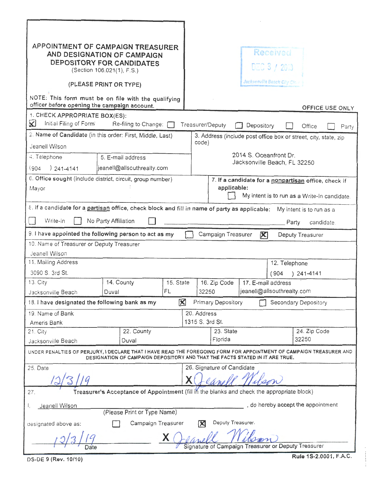| APPOINTMENT OF CAMPAIGN TREASURER<br>AND DESIGNATION OF CAMPAIGN<br>DEPOSITORY FOR CANDIDATES<br>(Section 106.021(1), F.S.)<br>(PLEASE PRINT OR TYPE)                                               |                            |           |                                                                 | Received<br>DEC 3 / 2013<br>Jacksonville Beach City Cle. |                            |                       |  |
|-----------------------------------------------------------------------------------------------------------------------------------------------------------------------------------------------------|----------------------------|-----------|-----------------------------------------------------------------|----------------------------------------------------------|----------------------------|-----------------------|--|
| NOTE: This form must be on file with the qualifying                                                                                                                                                 |                            |           |                                                                 |                                                          |                            |                       |  |
| officer before opening the campaign account.                                                                                                                                                        |                            |           |                                                                 |                                                          |                            | OFFICE USE ONLY       |  |
| 1. CHECK APPROPRIATE BOX(ES):<br>Initial Filing of Form<br>×<br>Re-filing to Change: [<br>Treasurer/Deputy<br>Depository<br>Office<br>Party                                                         |                            |           |                                                                 |                                                          |                            |                       |  |
| 2. Name of Candidate (in this order: First, Middle, Last)                                                                                                                                           |                            |           | 3. Address (include post office box or street, city, state, zip |                                                          |                            |                       |  |
| Jeanell Wilson                                                                                                                                                                                      |                            |           |                                                                 | code)                                                    |                            |                       |  |
| 4. Telephone                                                                                                                                                                                        | 5. E-mail address          |           |                                                                 | 2014 S. Oceanfront Dr.                                   |                            |                       |  |
| $) 241 - 4141$<br>(904)                                                                                                                                                                             | jeanell@allsouthrealty.com |           |                                                                 | Jacksonville Beach, FL 32250                             |                            |                       |  |
| 6. Office sought (include district, circuit, group number)<br>7. If a candidate for a nonpartisan office, check if                                                                                  |                            |           |                                                                 |                                                          |                            |                       |  |
| Mayor                                                                                                                                                                                               |                            |           |                                                                 | applicable:                                              |                            |                       |  |
|                                                                                                                                                                                                     |                            |           |                                                                 | My intent is to run as a Write-In candidate.             |                            |                       |  |
| ε. If a candidate for a partisan office, check block and fill in name of party as applicable:<br>My intent is to run as a                                                                           |                            |           |                                                                 |                                                          |                            |                       |  |
| Write-In<br>No Party Affiliation<br>Party<br>candidate.                                                                                                                                             |                            |           |                                                                 |                                                          |                            |                       |  |
| 9. I have appointed the following person to act as my                                                                                                                                               |                            |           |                                                                 | Campaign Treasurer                                       | $\mathbf{X}$               | Deputy Treasurer      |  |
| 10. Name of Treasurer or Deputy Treasurer                                                                                                                                                           |                            |           |                                                                 |                                                          |                            |                       |  |
| Jeanell Wilson                                                                                                                                                                                      |                            |           |                                                                 |                                                          |                            |                       |  |
| 11. Mailing Address                                                                                                                                                                                 |                            |           | 12. Telephone                                                   |                                                          |                            |                       |  |
| 3090 S. 3rd St.                                                                                                                                                                                     |                            |           | $) 241 - 4141$<br>(904)                                         |                                                          |                            |                       |  |
| 13. City                                                                                                                                                                                            | 14. County                 | 15. State |                                                                 | 16. Zip Code                                             | 17. E-mail address         |                       |  |
| Jacksonville Beach                                                                                                                                                                                  | Duval                      | FL        | 32250                                                           |                                                          | jeanell@allsouthrealty.com |                       |  |
| 18. I have designated the following bank as my                                                                                                                                                      |                            | X         |                                                                 | Primary Depository                                       |                            | Secondary Depository  |  |
| 19. Name of Bank                                                                                                                                                                                    |                            |           | 20. Address                                                     |                                                          |                            |                       |  |
| Ameris Bank                                                                                                                                                                                         |                            |           | 1315 S. 3rd St.                                                 |                                                          |                            |                       |  |
|                                                                                                                                                                                                     | 22. County<br>21. City     |           |                                                                 | 23. State<br>Florida                                     |                            | 24. Zip Code<br>32250 |  |
| Duval<br>Jacksonville Beach                                                                                                                                                                         |                            |           |                                                                 |                                                          |                            |                       |  |
| UNDER PENALTIES OF PERJURY, I DECLARE THAT I HAVE READ THE FOREGOING FORM FOR APPOINTMENT OF CAMPAIGN TREASURER AND<br>DESIGNATION OF CAMPAIGN DEPOSITORY AND THAT THE FACTS STATED IN IT ARE TRUE. |                            |           |                                                                 |                                                          |                            |                       |  |
| 25. Date                                                                                                                                                                                            |                            |           | 26. Signature of Candidate                                      |                                                          |                            |                       |  |
|                                                                                                                                                                                                     |                            |           |                                                                 |                                                          |                            |                       |  |
| Treasurer's Acceptance of Appointment (fill if the blanks and check the appropriate block)<br>27.                                                                                                   |                            |           |                                                                 |                                                          |                            |                       |  |
| , do hereby accept the appointment<br>Jeanell Wilson<br>(Please Print or Type Name)                                                                                                                 |                            |           |                                                                 |                                                          |                            |                       |  |
| Deputy Treasurer.<br>Campaign Treasurer                                                                                                                                                             |                            |           |                                                                 |                                                          |                            |                       |  |
| 冈<br>designated above as:                                                                                                                                                                           |                            |           |                                                                 |                                                          |                            |                       |  |
| Signature of Campaign Treasurer or Deputy Treasurer                                                                                                                                                 |                            |           |                                                                 |                                                          |                            |                       |  |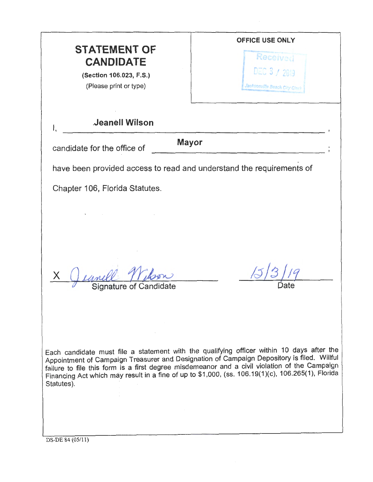| <b>STATEMENT OF</b><br><b>CANDIDATE</b><br>(Section 106.023, F.S.)<br>(Please print or type) | <b>OFFICE USE ONLY</b><br>Received<br>DEC 3 / 2019<br>Jacksonville Beach City Glerk                                                                                                                                                                                                                                                                                                           |  |  |  |  |  |
|----------------------------------------------------------------------------------------------|-----------------------------------------------------------------------------------------------------------------------------------------------------------------------------------------------------------------------------------------------------------------------------------------------------------------------------------------------------------------------------------------------|--|--|--|--|--|
| Jeanell Wilson<br>1,                                                                         |                                                                                                                                                                                                                                                                                                                                                                                               |  |  |  |  |  |
| <b>Mayor</b><br>candidate for the office of                                                  |                                                                                                                                                                                                                                                                                                                                                                                               |  |  |  |  |  |
| have been provided access to read and understand the requirements of                         |                                                                                                                                                                                                                                                                                                                                                                                               |  |  |  |  |  |
| Chapter 106, Florida Statutes.                                                               |                                                                                                                                                                                                                                                                                                                                                                                               |  |  |  |  |  |
|                                                                                              |                                                                                                                                                                                                                                                                                                                                                                                               |  |  |  |  |  |
| Signature of Candidate                                                                       |                                                                                                                                                                                                                                                                                                                                                                                               |  |  |  |  |  |
| Statutes).                                                                                   | Each candidate must file a statement with the qualifying officer within 10 days after the<br>Appointment of Campaign Treasurer and Designation of Campaign Depository is filed. Willful<br>failure to file this form is a first degree misdemeanor and a civil violation of the Campaign<br>Financing Act which may result in a fine of up to \$1,000, (ss. 106.19(1)(c), 106.265(1), Florida |  |  |  |  |  |

 $\mathcal{O}(\mathcal{A}^{\mathcal{A}})$  and  $\mathcal{O}(\mathcal{A}^{\mathcal{A}})$ 

 $DS-DE 84 (05/11)$